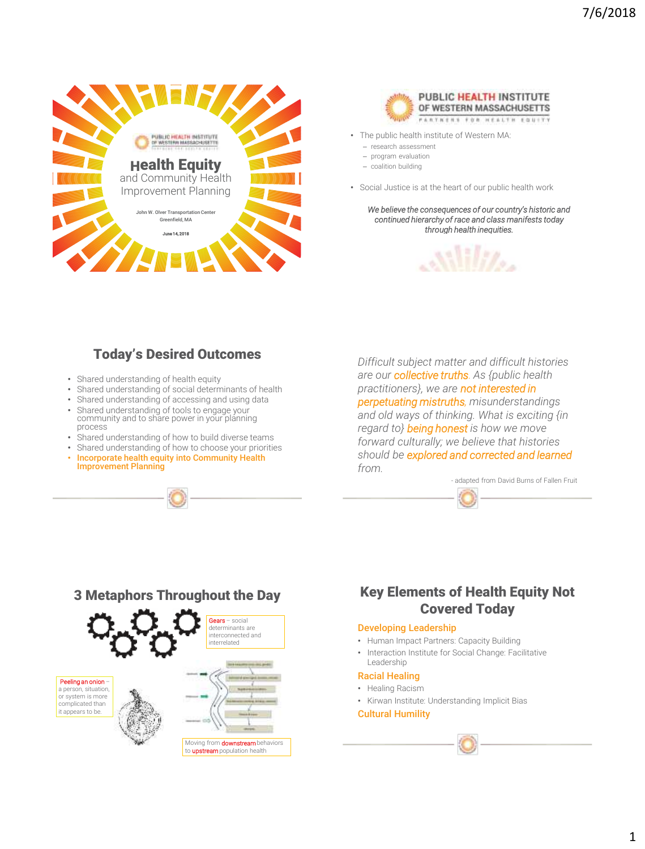



- The public health institute of Western MA:
	- research assessment
	- program evaluation
	- coalition building
- Social Justice is at the heart of our public health work

*We believe the consequences of our country's historic and continued hierarchy of race and class manifests today through health inequities.* 



## Today's Desired Outcomes

- Shared understanding of health equity
- Shared understanding of social determinants of health
- Shared understanding of accessing and using data
- Shared understanding of tools to engage your community and to share power in your planning process
- Shared understanding of how to build diverse teams
- Shared understanding of how to choose your priorities
- Incorporate health equity into Community Health Improvement Planning

*Difficult subject matter and difficult histories are our collective truths. As {public health practitioners}, we are not interested in perpetuating mistruths, misunderstandings and old ways of thinking. What is exciting {in regard to} being honest is how we move forward culturally; we believe that histories should be explored and corrected and learned from.* 

- adapted from David Burns of Fallen Fruit



## Key Elements of Health Equity Not Covered Today

#### Developing Leadership

- Human Impact Partners: Capacity Building
- Interaction Institute for Social Change: Facilitative Leadership

#### Racial Healing

- Healing Racism
- Kirwan Institute: Understanding Implicit Bias

#### Cultural Humility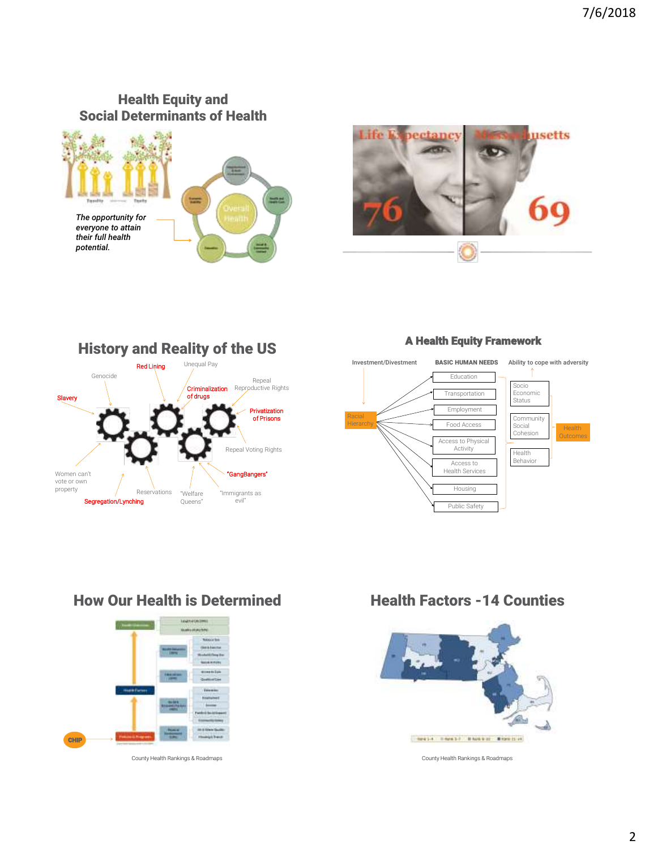## Health Equity and Social Determinants of Health







### A Health Equity Framework



## How Our Health is Determined



County Health Rankings & Roadmaps

Health Factors -14 Counties



County Health Rankings & Roadmaps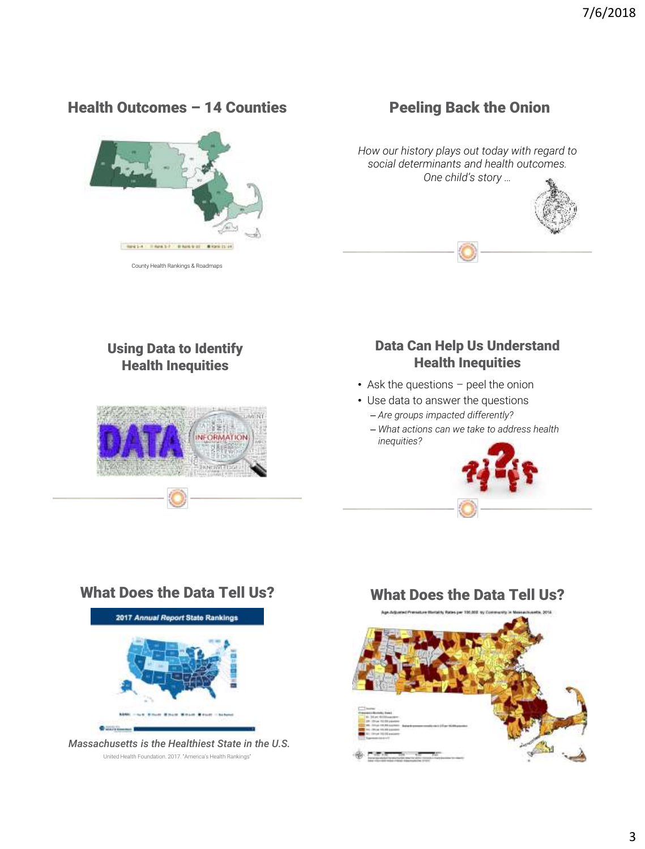## Health Outcomes – 14 Counties



Peeling Back the Onion

*How our history plays out today with regard to social determinants and health outcomes. One child's story …*



Using Data to Identify Health Inequities



## Data Can Help Us Understand Health Inequities

- Ask the questions peel the onion
- Use data to answer the questions – *Are groups impacted differently?*
	- *What actions can we take to address health inequities?*



United Health Foundation. 2017. "America's Health Rankings"

# What Does the Data Tell Us?

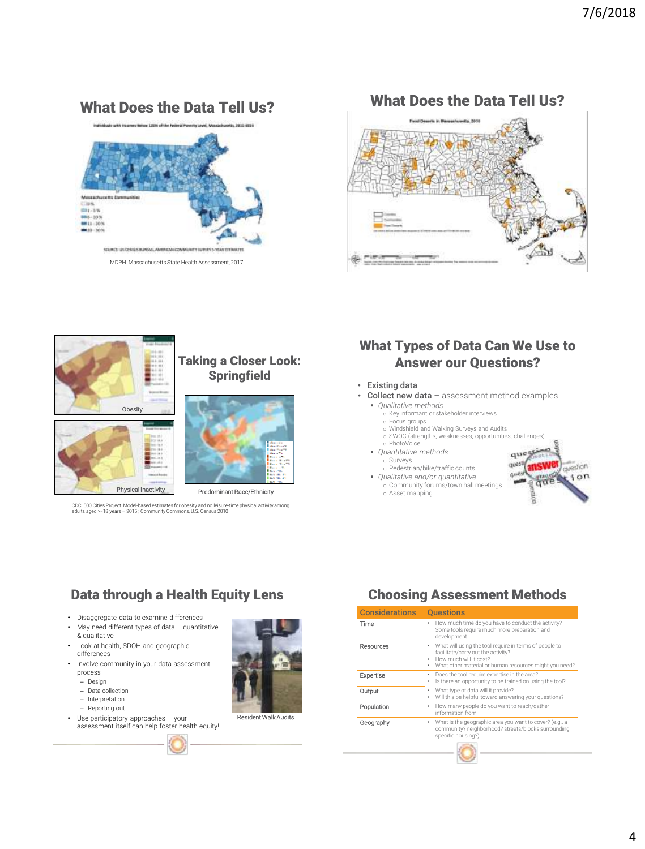## What Does the Data Tell Us?



MDPH. Massachusetts State Health Assessment, 2017.

# What Does the Data Tell Us? ∢



CDC. 500 Cities Project. Model-based estimates for obesity and no leisure-time physical activity among adults aged >=18 years – 2015 ; Community Commons, U.S. Census 2010

## What Types of Data Can We Use to Answer our Questions?

- Existing data
- Collect new data assessment method examples
	- *Qualitative methods*
		- o Key informant or stakeholder interviews
		- o Focus groups o Windshield and Walking Surveys and Audits
		- o SWOC (strengths, weaknesses, opportunities, challenges)
		- o PhotoVoice
	- *Quantitative methods*
		- o Surveys
	- o Pedestrian/bike/traffic counts *Qualitative and/or quantitative* o Community forums/town hall meetings
		- o Asset mapping



## Data through a Health Equity Lens

- Disaggregate data to examine differences
- May need different types of data quantitative & qualitative
- Look at health, SDOH and geographic differences
- Involve community in your data assessment process
	- Design
	- Data collection
	- Interpretation
	- Reporting out
- Use participatory approaches your assessment itself can help foster health equity!



#### Resident Walk Audits

## Choosing Assessment Methods

| <b>Considerations</b> | <b>Ouestions</b>                                                                                                                                                                                |
|-----------------------|-------------------------------------------------------------------------------------------------------------------------------------------------------------------------------------------------|
| Time                  | How much time do you have to conduct the activity?<br>٠<br>Some tools require much more preparation and<br>development                                                                          |
| Resources             | What will using the tool require in terms of people to<br>٠<br>facilitate/carry out the activity?<br>How much will it cost?<br>٠<br>What other material or human resources might you need?<br>٠ |
| Expertise             | Does the tool require expertise in the area?<br>٠<br>Is there an opportunity to be trained on using the tool?<br>۰                                                                              |
| Output                | What type of data will it provide?<br>۰<br>Will this be helpful toward answering your questions?<br>۰                                                                                           |
| Population            | How many people do you want to reach/gather<br>٠<br>information from                                                                                                                            |
| Geography             | What is the geographic area you want to cover? (e.g., a<br>٠<br>community? neighborhood? streets/blocks surrounding<br>specific housing?)                                                       |
|                       | <b>CONTRACTOR</b>                                                                                                                                                                               |

۸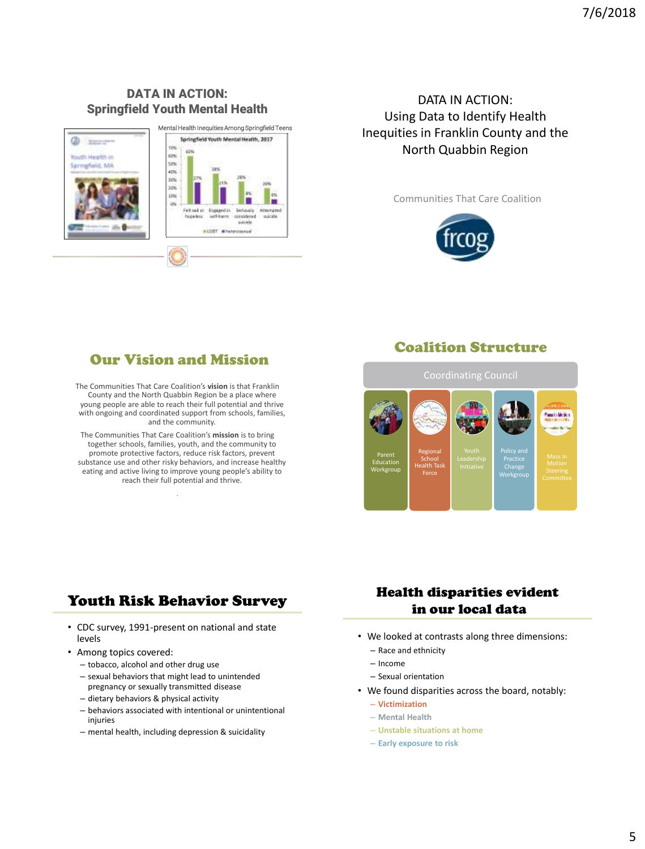## DATA IN ACTION: Springfield Youth Mental Health



## DATA IN ACTION: Using Data to Identify Health Inequities in Franklin County and the North Quabbin Region

Communities That Care Coalition



# Our Vision and Mission

The Communities That Care Coalition's **vision** is that Franklin County and the North Quabbin Region be a place where young people are able to reach their full potential and thrive with ongoing and coordinated support from schools, families, and the community.

The Communities That Care Coalition's **mission** is to bring together schools, families, youth, and the community to promote protective factors, reduce risk factors, prevent substance use and other risky behaviors, and increase healthy eating and active living to improve young people's ability to reach their full potential and thrive.

.

# Coalition Structure



# Youth Risk Behavior Survey

- CDC survey, 1991-present on national and state levels
- Among topics covered:
	- tobacco, alcohol and other drug use
	- sexual behaviors that might lead to unintended pregnancy or sexually transmitted disease
	- dietary behaviors & physical activity
	- behaviors associated with intentional or unintentional injuries
	- mental health, including depression & suicidality

## Health disparities evident in our local data

- We looked at contrasts along three dimensions:
	- Race and ethnicity
	- Income
	- Sexual orientation
- We found disparities across the board, notably:
	- **Victimization**
	- **Mental Health**
	- **Unstable situations at home**
	- **Early exposure to risk**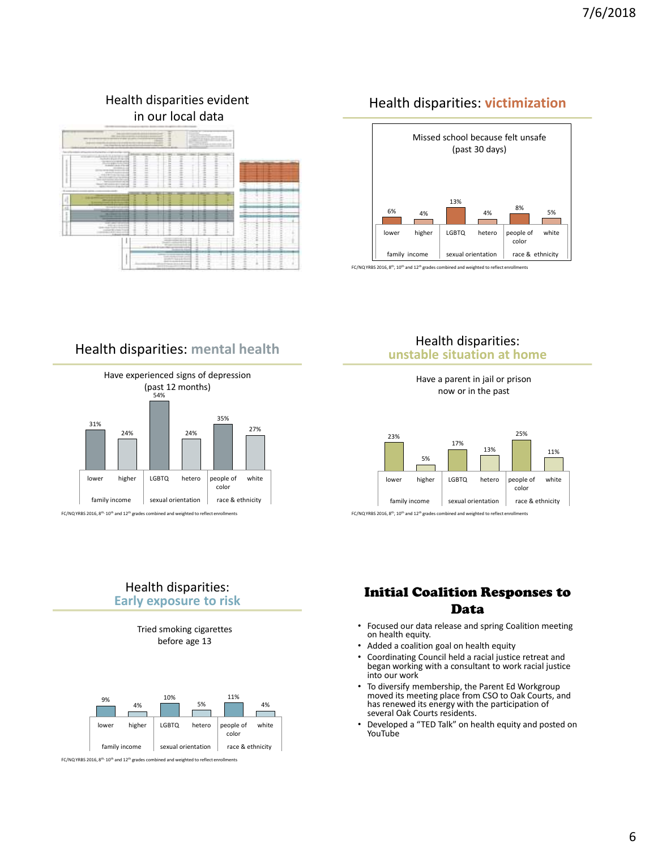# Health disparities: **victimization**



FC/NQ YRBS 2016, 8<sup>th</sup>, 10<sup>th</sup> and 12<sup>th</sup> grades combined and weighted to reflect enrollments

## Health disparities: **mental health**

Health disparities evident in our local data



FC/NQ YRBS 2016, 8<sup>th,</sup> 10<sup>th</sup> and 12<sup>th</sup> grades combined and weighted to reflect enrollments

#### Health disparities: **unstable situation at home**

Have a parent in jail or prison now or in the past



FC/NQ YRBS 2016, 8<sup>th</sup>, 10<sup>th</sup> and 12<sup>th</sup> grades combined and weighted to reflect enrollments

### Health disparities: **Early exposure to risk**





FC/NQ YRBS 2016, 8th, 10th and 12th grades combined and weighted to reflect enrollments

## Initial Coalition Responses to Data

- Focused our data release and spring Coalition meeting on health equity.
- Added a coalition goal on health equity
- Coordinating Council held a racial justice retreat and began working with a consultant to work racial justice into our work
- To diversify membership, the Parent Ed Workgroup moved its meeting place from CSO to Oak Courts, and has renewed its energy with the participation of several Oak Courts residents.
- Developed a "TED Talk" on health equity and posted on YouTube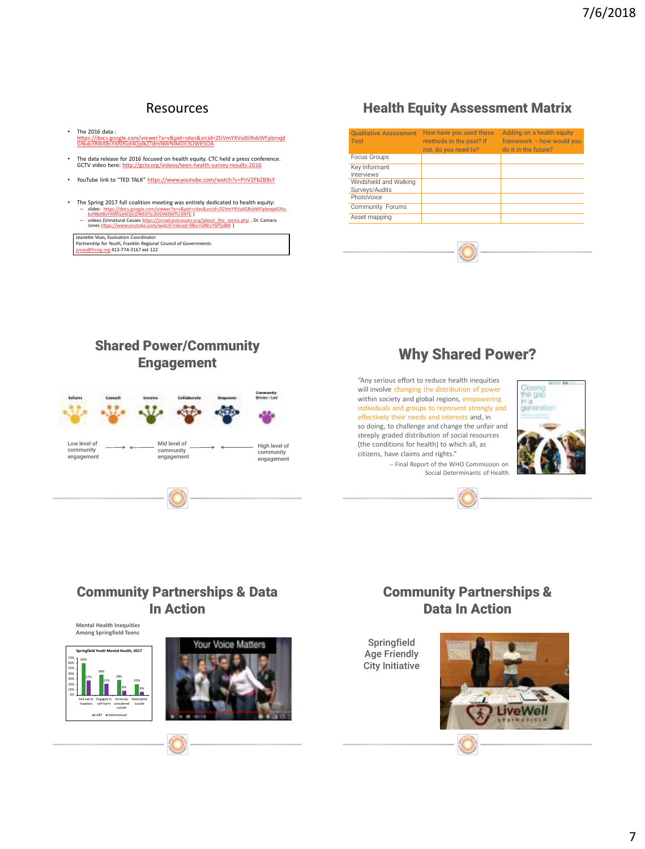## Resources

- The 2016 data :<br> htt<u>ps://docs.google.com/viewer?a=v&pid=sites&srcid=ZGVmYXVsdGRvbWFpbnxjd</u><br><u>[GNub3RlbXBsYXRlfGd4OjdkZTdmNWNlMDE3OWE5OA](https://docs.google.com/viewer?a=v&pid=sites&srcid=ZGVmYXVsdGRvbWFpbnxjdGNub3RlbXBsYXRlfGd4OjdkZTdmNWNlMDE3OWE5OA)</u>
- The data release for 2016 focused on health equity. CTC held a press conference. GCTV video here: <http://gctv.org/videos/teen-health-survey-results-2016>
- YouTube link to "TED TALK" <https://www.youtube.com/watch?v=PnV2FbZB8sY>
- The Spring 2017 full coalition meeting was entirely dedicated to health equity:<br> $-$  slides: https://docs.google.com/viewer?a=v&pid=sites&srcid=7GVmYXVsdGRvhWEphoxidGNi – slides: [https://docs.google.com/viewer?a=v&pid=sites&srcid=ZGVmYXVsdGRvbWFpbnxjdGNu](https://docs.google.com/viewer?a=v&pid=sites&srcid=ZGVmYXVsdGRvbWFpbnxjdGNub3RlbXBsYXRlfGd4OjVjZWE0Yjc3ODM3MTU3NTE) [b3RlbXBsYXRlfGd4OjVjZWE0Yjc3ODM3MTU3NTE](https://docs.google.com/viewer?a=v&pid=sites&srcid=ZGVmYXVsdGRvbWFpbnxjdGNub3RlbXBsYXRlfGd4OjVjZWE0Yjc3ODM3MTU3NTE) )
	- videos (Unnatural Causes [https://unnaturalcauses.org/about\\_the\\_series.php](https://unnaturalcauses.org/about_the_series.php) , Dr. Camara Jones<https://www.youtube.com/watch?reload=9&v=GNhcY6fTyBM> )

Jeanette Voas, Evaluation Coordinator Partnership for Youth, Franklin Regional Council of Governments oas@frcog.org 413-774-3167 ext 122

## Health Equity Assessment Matrix

| <b>Oualitative Assessment</b><br>Tool    | How have you used these<br>methods in the past? If<br>not. do you need to? | Adding on a health equity<br>framework $-$ how would you<br>do it in the future? |
|------------------------------------------|----------------------------------------------------------------------------|----------------------------------------------------------------------------------|
| Focus Groups                             |                                                                            |                                                                                  |
| Key Informant<br>Interviews              |                                                                            |                                                                                  |
| Windshield and Walking<br>Surveys/Audits |                                                                            |                                                                                  |
| PhotoVoice                               |                                                                            |                                                                                  |
| Community Forums                         |                                                                            |                                                                                  |
| Asset mapping                            |                                                                            |                                                                                  |

## Shared Power/Community Engagement



## Why Shared Power?

"Any serious effort to reduce health inequities will involve changing the distribution of power within society and global regions, empowering individuals and groups to represent strongly and effectively their needs and interests and, in so doing, to challenge and change the unfair and steeply graded distribution of social resources (the conditions for health) to which all, as citizens, have claims and rights."

> -- Final Report of the WHO Commission on Social Determinants of Health





## Community Partnerships & Data In Action



## Community Partnerships & Data In Action

Springfield Age Friendly City InitiativeLiveWell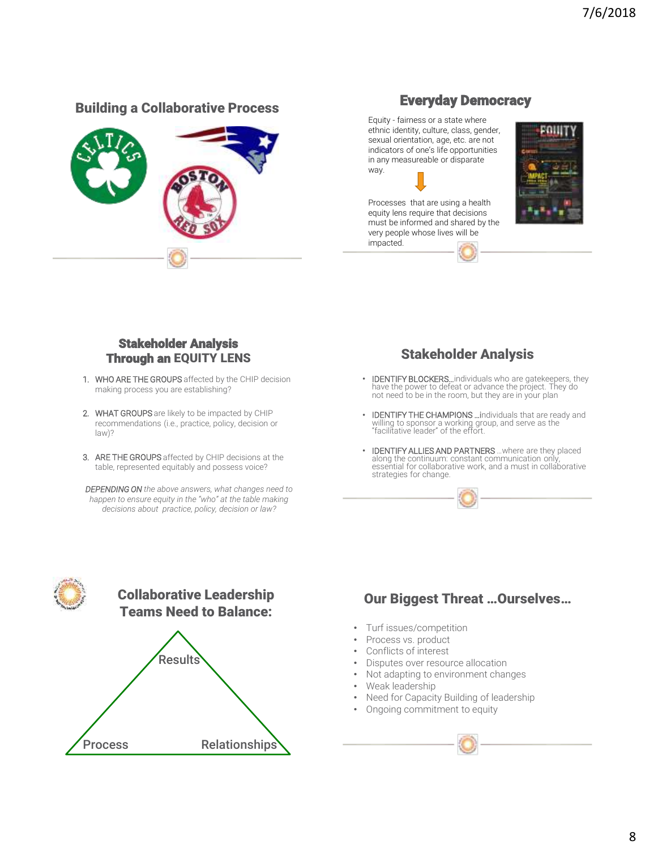# Building a Collaborative Process **Everyday Democracy**



Equity - fairness or a state where ethnic identity, culture, class, gender, sexual orientation, age, etc. are not indicators of one's life opportunities in any measureable or disparate way.



Processes that are using a health equity lens require that decisions must be informed and shared by the very people whose lives will be impacted.



## Stakeholder Analysis Through an EQUITY LENS

- 1. WHO ARE THE GROUPS affected by the CHIP decision making process you are establishing?
- 2. WHAT GROUPS are likely to be impacted by CHIP recommendations (i.e., practice, policy, decision or law)?
- 3. ARE THE GROUPS affected by CHIP decisions at the table, represented equitably and possess voice?

*DEPENDING ON the above answers, what changes need to happen to ensure equity in the "who" at the table making decisions about practice, policy, decision or law?*

Stakeholder Analysis

- IDENTIFY BLOCKERS...individuals who are gatekeepers, they have the power to defeat or advance the project. They do not need to be in the room, but they are in your plan
- IDENTIFY THE CHAMPIONS …individuals that are ready and willing to sponsor a working group, and serve as the "facilitative leader" of the effort.
- IDENTIFY ALLIES AND PARTNERS …where are they placed along the continuum: constant communication only, essential for collaborative work, and a must in collaborative strategies for change.



# Collaborative Leadership Teams Need to Balance:



# Our Biggest Threat …Ourselves…

- Turf issues/competition
- Process vs. product
- Conflicts of interest
- Disputes over resource allocation
- Not adapting to environment changes
- Weak leadership
- Need for Capacity Building of leadership
- Ongoing commitment to equity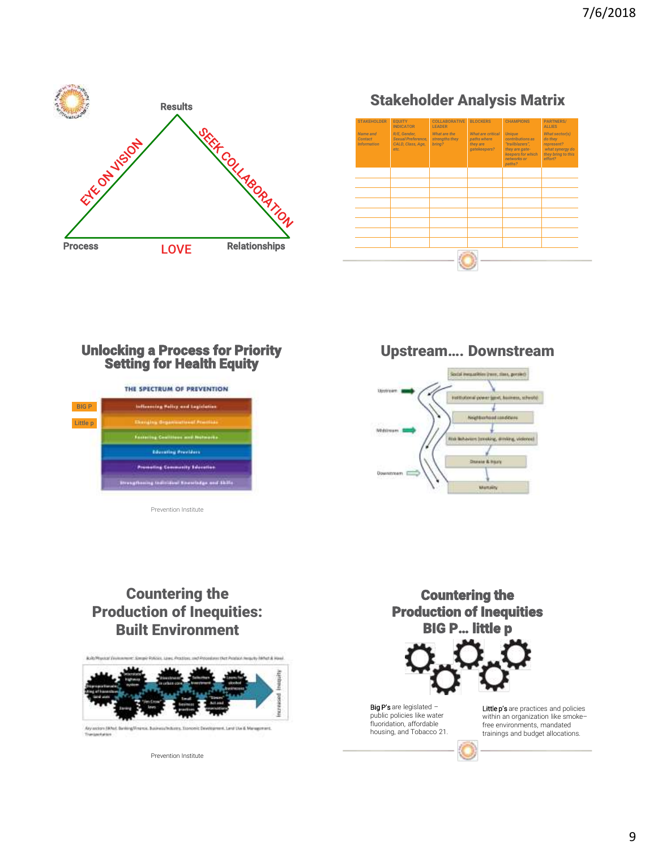

Stakeholder Analysis Matrix



## Unlocking a Process for Priority Setting for Health Equity

|              | THE SPECTRUM OF PREVENTION                     |
|--------------|------------------------------------------------|
| <b>BIG P</b> | Inflaming Policy and Legislation               |
| Little p     | <b>Cheristra Geganizational Processo</b>       |
|              | <b>Factoring Coultinue and Nationals</b>       |
|              | Educating Providers                            |
|              | <b>Promoting Community Education</b>           |
|              | Strangthening tedicident Spaniships and Skills |

Prevention Institute

Upstream…. Downstream



## Countering the Production of Inequities: Built Environment

AutoMassical De A New Art of A House Any extern (Which & A Levi Uni & Management

Prevention Institute

Transportation

Countering the Production of Inequities BIG P… little p



Big P's are legislated public policies like water fluoridation, affordable housing, and Tobacco 21. Little p's are practices and policies within an organization like smokefree environments, mandated trainings and budget allocations.